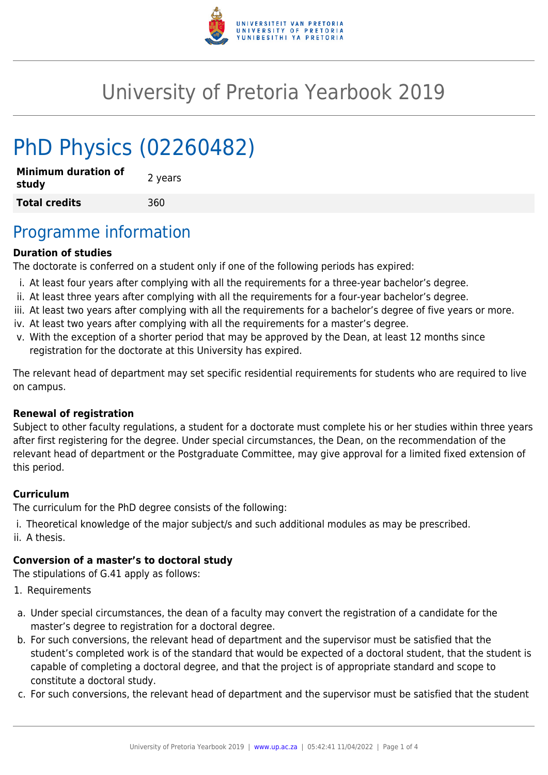

# University of Pretoria Yearbook 2019

# PhD Physics (02260482)

| <b>Minimum duration of</b><br>study | 2 years |
|-------------------------------------|---------|
| <b>Total credits</b>                | 360     |

## Programme information

#### **Duration of studies**

The doctorate is conferred on a student only if one of the following periods has expired:

- i. At least four years after complying with all the requirements for a three-year bachelor's degree.
- ii. At least three years after complying with all the requirements for a four-year bachelor's degree.
- iii. At least two years after complying with all the requirements for a bachelor's degree of five years or more.
- iv. At least two years after complying with all the requirements for a master's degree.
- v. With the exception of a shorter period that may be approved by the Dean, at least 12 months since registration for the doctorate at this University has expired.

The relevant head of department may set specific residential requirements for students who are required to live on campus.

#### **Renewal of registration**

Subject to other faculty regulations, a student for a doctorate must complete his or her studies within three years after first registering for the degree. Under special circumstances, the Dean, on the recommendation of the relevant head of department or the Postgraduate Committee, may give approval for a limited fixed extension of this period.

#### **Curriculum**

The curriculum for the PhD degree consists of the following:

- i. Theoretical knowledge of the major subject/s and such additional modules as may be prescribed.
- ii. A thesis.

### **Conversion of a master's to doctoral study**

The stipulations of G.41 apply as follows:

- 1. Requirements
- a. Under special circumstances, the dean of a faculty may convert the registration of a candidate for the master's degree to registration for a doctoral degree.
- b. For such conversions, the relevant head of department and the supervisor must be satisfied that the student's completed work is of the standard that would be expected of a doctoral student, that the student is capable of completing a doctoral degree, and that the project is of appropriate standard and scope to constitute a doctoral study.
- c. For such conversions, the relevant head of department and the supervisor must be satisfied that the student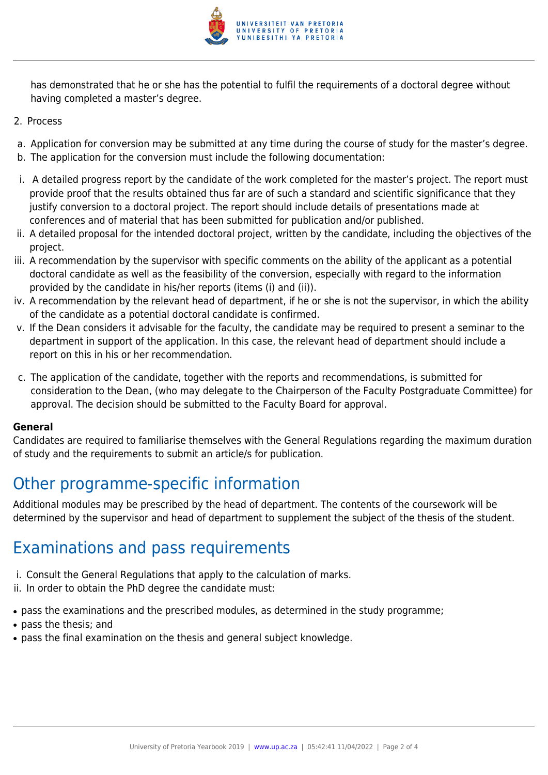

has demonstrated that he or she has the potential to fulfil the requirements of a doctoral degree without having completed a master's degree.

- 2. Process
- a. Application for conversion may be submitted at any time during the course of study for the master's degree.
- b. The application for the conversion must include the following documentation:
- i. A detailed progress report by the candidate of the work completed for the master's project. The report must provide proof that the results obtained thus far are of such a standard and scientific significance that they justify conversion to a doctoral project. The report should include details of presentations made at conferences and of material that has been submitted for publication and/or published.
- ii. A detailed proposal for the intended doctoral project, written by the candidate, including the objectives of the project.
- iii. A recommendation by the supervisor with specific comments on the ability of the applicant as a potential doctoral candidate as well as the feasibility of the conversion, especially with regard to the information provided by the candidate in his/her reports (items (i) and (ii)).
- iv. A recommendation by the relevant head of department, if he or she is not the supervisor, in which the ability of the candidate as a potential doctoral candidate is confirmed.
- v. If the Dean considers it advisable for the faculty, the candidate may be required to present a seminar to the department in support of the application. In this case, the relevant head of department should include a report on this in his or her recommendation.
- c. The application of the candidate, together with the reports and recommendations, is submitted for consideration to the Dean, (who may delegate to the Chairperson of the Faculty Postgraduate Committee) for approval. The decision should be submitted to the Faculty Board for approval.

#### **General**

Candidates are required to familiarise themselves with the General Regulations regarding the maximum duration of study and the requirements to submit an article/s for publication.

## Other programme-specific information

Additional modules may be prescribed by the head of department. The contents of the coursework will be determined by the supervisor and head of department to supplement the subject of the thesis of the student.

## Examinations and pass requirements

- i. Consult the General Regulations that apply to the calculation of marks.
- ii. In order to obtain the PhD degree the candidate must:
- pass the examinations and the prescribed modules, as determined in the study programme;
- pass the thesis; and
- pass the final examination on the thesis and general subject knowledge.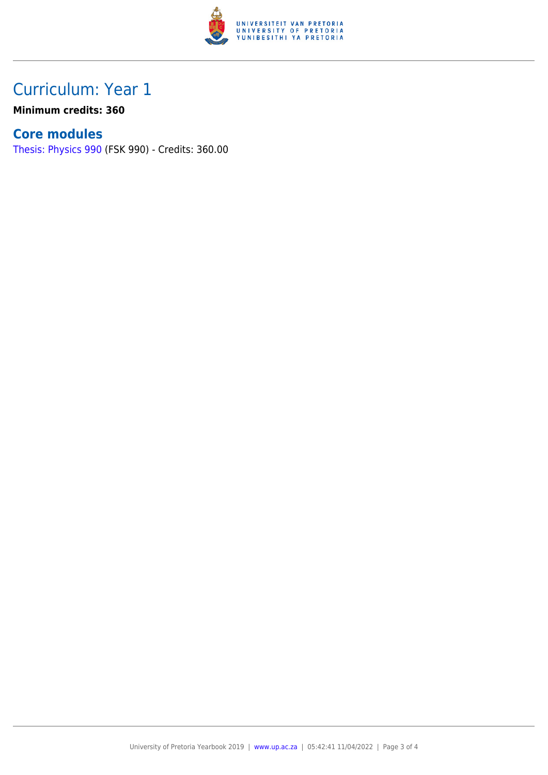

# Curriculum: Year 1

**Minimum credits: 360**

## **Core modules**

[Thesis: Physics 990](https://www.up.ac.za/faculty-of-education/yearbooks/2019/modules/view/FSK 990) (FSK 990) - Credits: 360.00